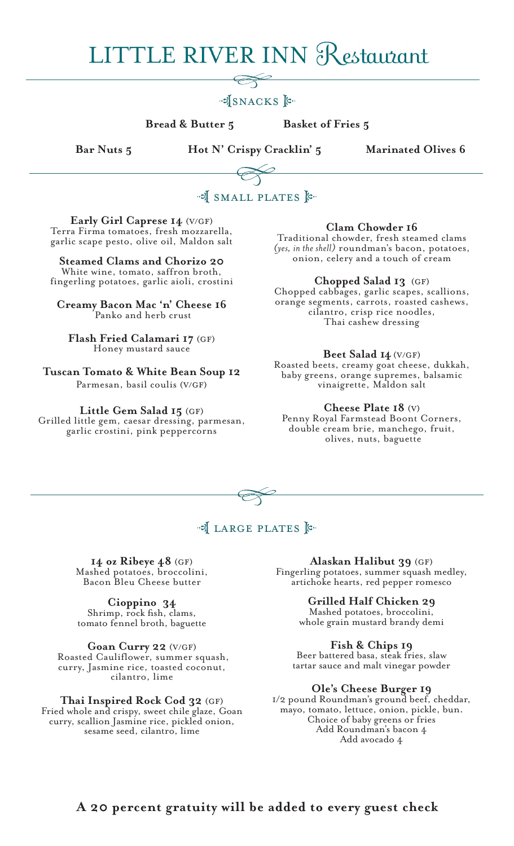# **LITTLE RIVER INN Restaurant**

## .JSNACKS E.

**Bread & Butter 5 Basket of Fries 5** 

 **Bar Nuts 5 Hot N' Crispy Cracklin' 5 Marinated Olives 6**



**Early Girl Caprese 14** (v/gf) Terra Firma tomatoes, fresh mozzarella, garlic scape pesto, olive oil, Maldon salt

**Steamed Clams and Chorizo 20** White wine, tomato, saffron broth, fingerling potatoes, garlic aioli, crostini

**Creamy Bacon Mac 'n' Cheese 16** Panko and herb crust

**Flash Fried Calamari 17** (gf) Honey mustard sauce

**Tuscan Tomato & White Bean Soup 12**  Parmesan, basil coulis (v/gf)

**Little Gem Salad 15** (gf)

Grilled little gem, caesar dressing, parmesan, garlic crostini, pink peppercorns

**Clam Chowder 16** 

Traditional chowder, fresh steamed clams *(yes, in the shell)* roundman's bacon, potatoes, onion, celery and a touch of cream

**Chopped Salad 13** (gf)

Chopped cabbages, garlic scapes, scallions, orange segments, carrots, roasted cashews, cilantro, crisp rice noodles, Thai cashew dressing

**Beet Salad 14** (V/gf) Roasted beets, creamy goat cheese, dukkah, baby greens, orange supremes, balsamic

vinaigrette, Maldon salt

**Cheese Plate 18** (V)Penny Royal Farmstead Boont Corners, double cream brie, manchego, fruit, olives, nuts, baguette



## of LARGE PLATES  $\mathbb{R}$

**14 oz Ribeye 48** (gf) Mashed potatoes, broccolini, Bacon Bleu Cheese butter

**Cioppino 34** Shrimp, rock fish, clams, tomato fennel broth, baguette

**Goan Curry 22** (v/gf) Roasted Cauliflower, summer squash, curry, Jasmine rice, toasted coconut, cilantro, lime

**Thai Inspired Rock Cod 32** (gf) Fried whole and crispy, sweet chile glaze, Goan curry, scallion Jasmine rice, pickled onion, sesame seed, cilantro, lime

**Alaskan Halibut 39** (gf) Fingerling potatoes, summer squash medley, artichoke hearts, red pepper romesco

> **Grilled Half Chicken 29** Mashed potatoes, broccolini, whole grain mustard brandy demi

**Fish & Chips 19**  Beer battered basa, steak fries, slaw

tartar sauce and malt vinegar powder

**Ole's Cheese Burger 19** 1/2 pound Roundman's ground beef, cheddar, mayo, tomato, lettuce, onion, pickle, bun. Choice of baby greens or fries Add Roundman's bacon 4 Add avocado 4

**A 20 percent gratuity will be added to every guest check**